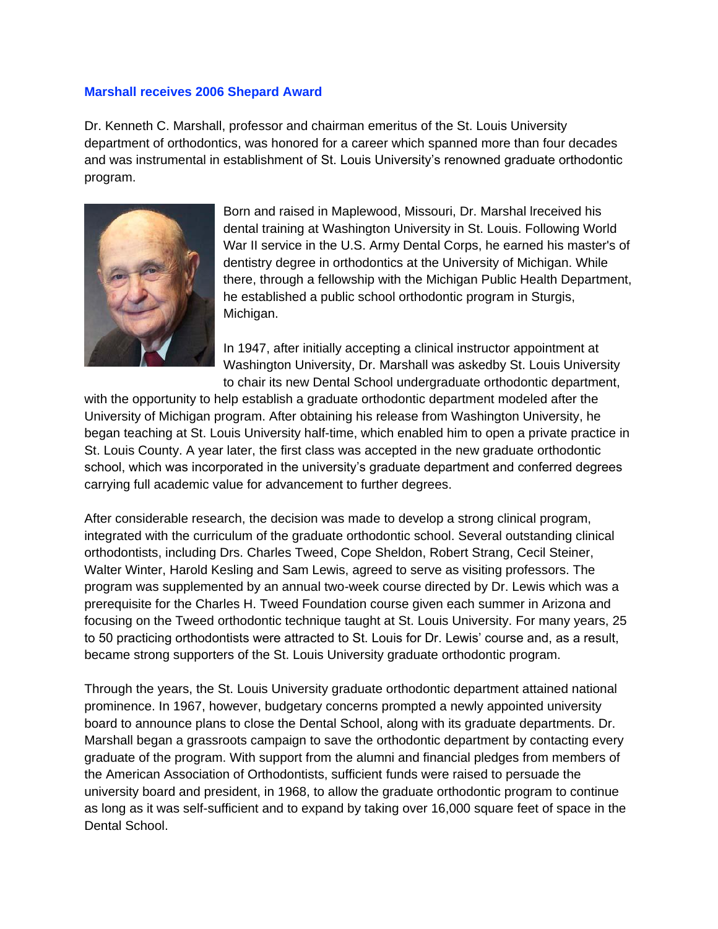## **Marshall receives 2006 Shepard Award**

Dr. Kenneth C. Marshall, professor and chairman emeritus of the St. Louis University department of orthodontics, was honored for a career which spanned more than four decades and was instrumental in establishment of St. Louis University's renowned graduate orthodontic program.



Born and raised in Maplewood, Missouri, Dr. Marshal lreceived his dental training at Washington University in St. Louis. Following World War II service in the U.S. Army Dental Corps, he earned his master's of dentistry degree in orthodontics at the University of Michigan. While there, through a fellowship with the Michigan Public Health Department, he established a public school orthodontic program in Sturgis, Michigan.

In 1947, after initially accepting a clinical instructor appointment at Washington University, Dr. Marshall was askedby St. Louis University to chair its new Dental School undergraduate orthodontic department,

with the opportunity to help establish a graduate orthodontic department modeled after the University of Michigan program. After obtaining his release from Washington University, he began teaching at St. Louis University half-time, which enabled him to open a private practice in St. Louis County. A year later, the first class was accepted in the new graduate orthodontic school, which was incorporated in the university's graduate department and conferred degrees carrying full academic value for advancement to further degrees.

After considerable research, the decision was made to develop a strong clinical program, integrated with the curriculum of the graduate orthodontic school. Several outstanding clinical orthodontists, including Drs. Charles Tweed, Cope Sheldon, Robert Strang, Cecil Steiner, Walter Winter, Harold Kesling and Sam Lewis, agreed to serve as visiting professors. The program was supplemented by an annual two-week course directed by Dr. Lewis which was a prerequisite for the Charles H. Tweed Foundation course given each summer in Arizona and focusing on the Tweed orthodontic technique taught at St. Louis University. For many years, 25 to 50 practicing orthodontists were attracted to St. Louis for Dr. Lewis' course and, as a result, became strong supporters of the St. Louis University graduate orthodontic program.

Through the years, the St. Louis University graduate orthodontic department attained national prominence. In 1967, however, budgetary concerns prompted a newly appointed university board to announce plans to close the Dental School, along with its graduate departments. Dr. Marshall began a grassroots campaign to save the orthodontic department by contacting every graduate of the program. With support from the alumni and financial pledges from members of the American Association of Orthodontists, sufficient funds were raised to persuade the university board and president, in 1968, to allow the graduate orthodontic program to continue as long as it was self-sufficient and to expand by taking over 16,000 square feet of space in the Dental School.